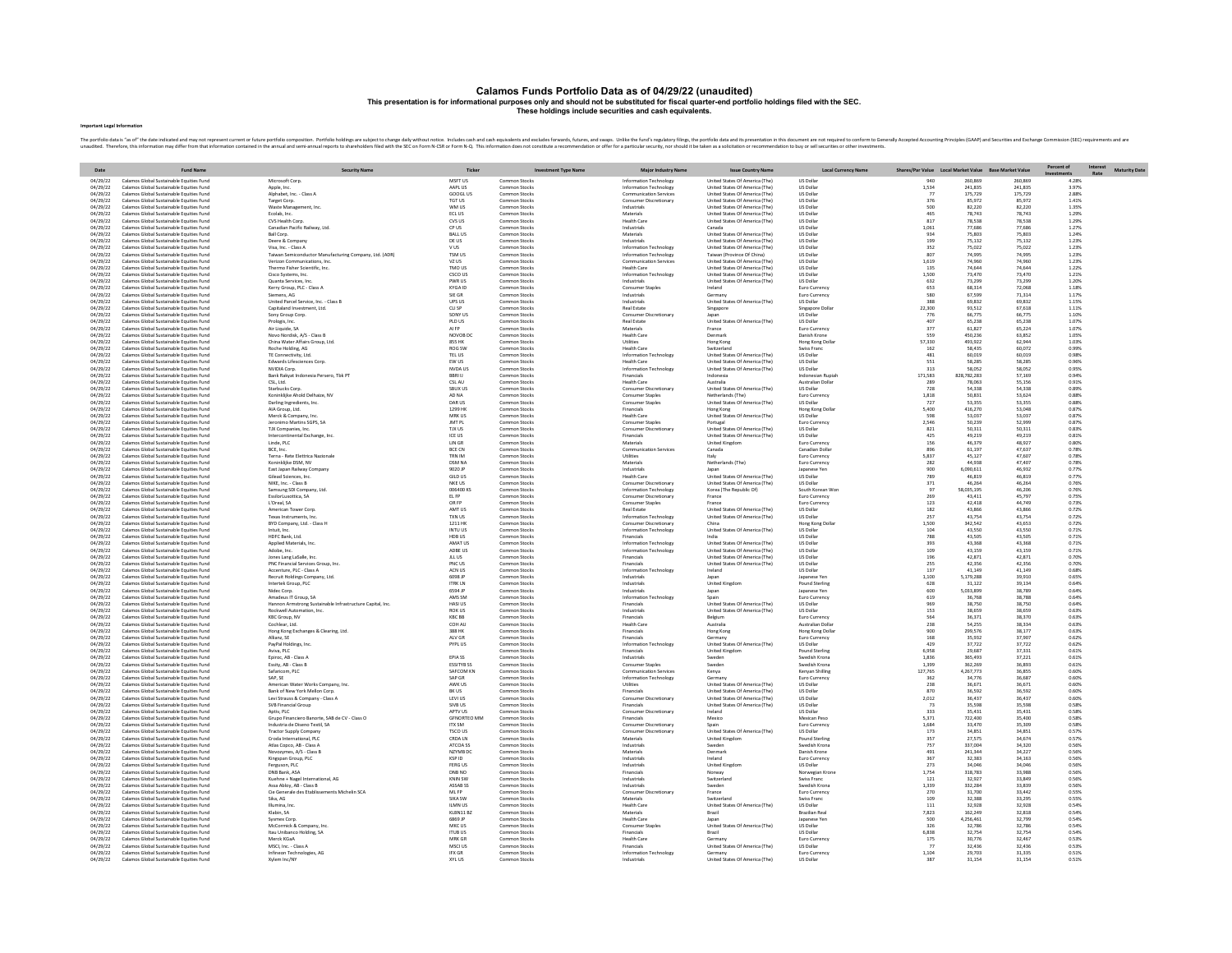# Calamos Funds Portfolio Data as of 04/29/22 (unaudited)<br>This presentation is for informational purposes only and should not be substituted for fiscal quarter-end portfolio holdings filed with the SEC.<br>These holdings includ

### Important Legal Information

The position is a of the distantion man in the man interaction function position. Position Property in the computation in the computation in the computation in the computation in the computation in the computation in the c

|                      | <b>Fund Name</b>                                                                     | <b>Security Name</b>                                                           | Ticker                          | <b>Investment Type Name</b>    |                                                      |                                                                  |                                               |                | Shares/Par Value Local Market Value Base Market Value |                   | Percent of     | <b>Maturity Date</b> |
|----------------------|--------------------------------------------------------------------------------------|--------------------------------------------------------------------------------|---------------------------------|--------------------------------|------------------------------------------------------|------------------------------------------------------------------|-----------------------------------------------|----------------|-------------------------------------------------------|-------------------|----------------|----------------------|
| Date<br>04/29/22     | Calamos Global Sustainable Equities Fund                                             | Microsoft Corp.                                                                | MSFT US                         | Common Stock:                  | <b>Major Industry Name</b><br>Information Technology | <b>Issue Country Name</b><br>United States Of America (The)      | <b>Local Currency Name</b><br><b>US Dolla</b> |                | 260.869                                               | 260.869           | 4.28%          | Rate                 |
| 04/29/22             | Calamos Global Sustainable Equities Fund                                             | Apple, Inc.                                                                    | AAPL US                         | Common Stocks                  | Information Technology                               | United States Of America (The)                                   | <b>US Dollar</b>                              | 1.534          | 241.835                                               | 241.835           | 3.97%          |                      |
| 04/29/22             | Calamos Global Sustainable Equities Fund                                             | Alphabet, Inc. - Class A                                                       | GOOGL US                        | Common Stocks                  | <b>Communication Services</b>                        | United States Of America (The)                                   | <b>US Dolla</b>                               | 77             | 175,729                                               | 175,729<br>85.972 | 2.88%          |                      |
| 04/29/22<br>04/29/22 | Calamos Global Sustainable Equities Fund<br>Calamos Global Sustainable Equities Fund | Target Corp.<br>Waste Management, Inc                                          | <b>TGT US</b><br>WM US          | Common Stocks<br>Common Stocks | Consumer Discretionary<br>Industrials                | United States Of America (The)<br>United States Of America (The) | US Dolla<br>US Dolla                          | 376<br>500     | 85.972<br>82.220                                      | 82,220            | 1.41%<br>1.35% |                      |
| 04/29/22             | Calamos Global Sustainable Equities Fun                                              | Ecolab, Inc.                                                                   | ECL US                          | Common Stock:                  | Materials                                            | United States Of America (The)                                   | US Dolla                                      | 465            | 78,743                                                | 78,743            | 1.29%          |                      |
| 04/29/22<br>04/29/22 | Calamos Global Sustainable Equities Fund<br>Calamos Global Sustainable Fouities Fund | CVS Health Corp<br>Canadian Pacific Railway, Ltd.                              | CVS US<br>CRIIS                 | Common Stock:<br>Common Stocks | <b>Health Care</b><br>Industrials                    | United States Of America (The)<br>Canada                         | US Dolla<br><b>US Dollar</b>                  | 817<br>1.061   | 78,538<br>77 686                                      | 78,538<br>77.686  | 1.29%<br>1 27% |                      |
| 04/29/22             | Calamos Global Sustainable Fouities Fund                                             | <b>Ball Corp.</b>                                                              | <b>BALLUS</b>                   | Common Stocks                  | Materials                                            | United States Of America (The)                                   | <b>US Dollar</b>                              | 934            | 75.803                                                | 75,803            | 1 24%          |                      |
| 04/29/22             | Calamos Global Sustainable Equities Fund                                             | Deere & Company                                                                | DE US                           | Common Stocks                  | Industrials                                          | United States Of America (The)                                   | <b>US Dollar</b>                              | 199            | 75.132                                                | 75.132            | 1.23%          |                      |
| 04/29/22<br>04/29/22 | Calamos Global Sustainable Equities Fund<br>Calamos Global Sustainable Equities Fund | Visa, Inc. - Class A<br>Taiwan Semiconductor Manufacturing Company, Ltd. (ADR) | <b>VUS</b><br><b>TSM US</b>     | Common Stocks<br>Common Stocks | Information Technology<br>Information Technology     | United States Of America (The)<br>Taiwan (Province Of China)     | US Dollar<br><b>US Dolla</b>                  | 352<br>807     | 75.022<br>74,995                                      | 75.022<br>74.995  | 1.23%<br>1.23% |                      |
| 04/29/22             | Calamos Global Sustainable Equities Fund                                             | Verizon Communications, Inc.                                                   | VZ US                           | Common Stocks                  | <b>Communication Services</b>                        | United States Of America (The)                                   | US Dolla                                      | 1,619          | 74,960                                                | 74,960            | 1.23%          |                      |
| 04/29/22             | Calamos Global Sustainable Equities Fund                                             | Thermo Fisher Scientific, Inc.                                                 | TMO US                          | Common Stocks                  | <b>Health Care</b>                                   | United States Of America (The)                                   | US Dollar                                     | 135            | 74,644                                                | 74,644            | 1.22%          |                      |
| 04/29/22<br>04/29/22 | Calamos Global Sustainable Equities Fund<br>Calamos Global Sustainable Equities Fund | Cisco Systems, Inc.<br>Quanta Services, Inc.                                   | CSCO US<br>PWR US               | Common Stocks<br>Common Stocks | Information Technology<br>Industrials                | United States Of America (The)<br>United States Of America (The) | US Dollar<br><b>US Dollar</b>                 | 1,500<br>632   | 73,470<br>73,299                                      | 73,470<br>73.299  | 1.21%<br>1.20% |                      |
| 04/29/22             | Calamos Global Sustainable Equities Fund                                             | Kerry Group, PLC - Class A                                                     | KYGA ID                         | Common Stocks                  | Consumer Staple                                      | Ireland                                                          | Euro Currency                                 | 653            | 68.314                                                | 72.068            | 1.18%          |                      |
| 04/29/22<br>04/29/22 | Calamos Global Sustainable Equities Fund<br>Calamos Global Sustainable Equities Fund | Siemens, AG<br>United Parcel Service, Inc. - Class B                           | SIE GR<br>UPS US                | Common Stocks<br>Common Stocks | Industrials<br>Industrials                           | Germany<br>United States Of America (The)                        | Euro Currency<br><b>US Dollar</b>             | 580<br>388     | 67.599<br>69.832                                      | 71.314<br>69.832  | 1.17%<br>1.15% |                      |
| 04/29/22             | Calamos Global Sustainable Equities Fund                                             | Capitaland Investment, Ltd.                                                    | CLI SP                          | Common Stocks                  | Real Estate                                          | Singapore                                                        | Singapore Dolla                               | 22,300         | 93.512                                                | 67.618            | 1.11%          |                      |
| 04/29/22             | Calamos Global Sustainable Equities Funn                                             | Sony Group Corp                                                                | SONY US                         | Common Stock:                  | Consumer Discretionar                                |                                                                  | US Dolla                                      | 776            | 66,775                                                | 66,775            | 1.10%          |                      |
| 04/29/22<br>04/29/22 | Calamos Global Sustainable Equities Fund<br>Calamos Global Sustainable Fouities Fund | Prologis, Inc.<br>Air Liquide SA                                               | PLD US<br><b>ALFP</b>           | Common Stock:<br>Common Stocks | <b>Real Estate</b><br>Materials                      | United States Of America (The)<br>France                         | US Dollar<br>Furn Currency                    | 407<br>377     | 65.238<br>61.827                                      | 65,238<br>65.224  | 1.07%<br>1.07% |                      |
| 04/29/22             | Calamos Global Sustainable Fouities Fund                                             | Novo Nordisk A/S - Class B                                                     | NOVOR DC                        | Common Stocks                  | Health Care                                          | Denmark                                                          | Danish Krone                                  | 559            | 450.236                                               | 63.852            | 1.05%          |                      |
| 04/29/22             | Calamos Global Sustainable Equities Fund                                             | China Water Affairs Group, Ltd.                                                | 855 HK                          | Common Stocks                  | Utilities                                            | Hong Kong                                                        | Hong Kong Dollar                              | 57,330         | 493.922                                               | 62,944<br>60.072  | 1.03%          |                      |
| 04/29/22<br>04/29/22 | Calamos Global Sustainable Equities Fund<br>Calamos Global Sustainable Equities Fund | Roche Holding, AG<br>TE Connectivity, Ltd                                      | ROG SW<br>TEL US                | Common Stocks<br>Common Stocks | <b>Health Care</b><br>Information Technology         | Switzerland<br>United States Of America (The)                    | Swiss Franc<br><b>US Dolla</b>                | 162<br>481     | 58.435<br>60,019                                      | 60.019            | 0.99%<br>0.98% |                      |
| 04/29/22             | Calamos Global Sustainable Equities Fund                                             | Edwards Lifesciences Corp.                                                     | EW US                           | Common Stocks                  | <b>Health Care</b>                                   | United States Of America (The)                                   | US Dolla                                      | 551            | 58,285                                                | 58,289            | 0.96%          |                      |
| 04/29/22<br>04/29/22 | Calamos Global Sustainable Equities Fund<br>Calamos Global Sustainable Equities Fund | NVIDIA Corp.<br>Bank Rakyat Indonesia Persero, Tbk PT                          | NVDA US<br><b>BRRIII</b>        | Common Stocks<br>Common Stocks | Information Technology<br>Financials                 | United States Of America (The)<br>Indonesia                      | <b>US Dollar</b><br>Indonesian Runiah         | 313<br>171,583 | 58.052<br>828,782,283                                 | 58.052<br>57.169  | 0.95%<br>0.94% |                      |
| 04/29/22             | Calamos Global Sustainable Equities Fund                                             | CSL Ltd.                                                                       | CSL AU                          | Common Stocks                  | <b>Health Care</b>                                   | Australia                                                        | Australian Dollar                             | 289            | 78.063                                                | 55.156            | 0.91%          |                      |
| 04/29/22             | Calamos Global Sustainable Equities Fund                                             | Starbucks Corp.                                                                | SBUX US                         | Common Stocks                  | Consumer Discretionary                               | United States Of America (The)                                   | <b>US Dollar</b>                              | 728            | 54,338                                                | 54,338            | 0.89%          |                      |
| 04/29/22<br>04/29/22 | Calamos Global Sustainable Equities Fund<br>Calamos Global Sustainable Equities Fund | Koninklijke Ahold Delhaize, NV<br>Darling Ingredients, Inc.                    | AD NA<br>DAR US                 | Common Stocks<br>Common Stocks | Consumer Staple<br>Consumer Staple                   | Netherlands (The)<br>United States Of America (The)              | Euro Currency<br>US Dollar                    | 1,818<br>727   | 50.831<br>53,355                                      | 53,624<br>53,355  | 0.88%<br>0.88% |                      |
| 04/29/22             | Calamos Global Sustainable Equities Fund                                             | AIA Group, Ltd.                                                                | 1299 HK                         | Common Stock:                  | Financials                                           | Hong Kong                                                        | Hong Kong Dolla                               | 5,400          | 416,270                                               | 53,048            | 0.87%          |                      |
| 04/29/22<br>04/29/22 | Calamos Global Sustainable Equities Fund<br>Calamos Global Sustainable Fouities Fund | Merck & Company, In<br>Jeronimo Martins SGPS SA                                | MRK US<br>IMT PI                | Common Stock:<br>Common Stocks | <b>Health Care</b><br>Consumer Stanle                | United States Of America (The)<br>Portugal                       | US Dollar<br>Furn Currency                    | 598<br>2.546   | 53.037<br>50.239                                      | 53,037<br>52.999  | 0.87%<br>0.87% |                      |
| 04/29/22             | Calamos Global Sustainable Fouities Fund                                             | TIX Companies Inc.                                                             | <b>TIX US</b>                   | Common Stocks                  | Consumer Discretionary                               | United States Of America (The)                                   | <b>US Dollar</b>                              | 821            | 50.311                                                | 50 311            | 0.83%          |                      |
| 04/29/22             | Calamos Global Sustainable Equities Fund                                             | Intercontinental Exchange, Inc.                                                | <b>ICE US</b>                   | Common Stocks                  | Financials                                           | United States Of America (The)                                   | <b>US Dollar</b>                              | 425            | 49.219                                                | 49.219            | 0.81%          |                      |
| 04/29/22<br>04/29/22 | Calamos Global Sustainable Equities Fund<br>Calamos Global Sustainable Equities Fund | Linde, PLC<br>BCE, Inc.                                                        | LIN GR<br>BCE CN                | Common Stocks<br>Common Stocks | Materials<br><b>Communication Services</b>           | <b>United Kingdom</b><br>Canada                                  | Euro Currency<br>Canadian Dolla               | 156<br>896     | 46.379<br>61.197                                      | 48.927<br>47.637  | 0.80%<br>0.78% |                      |
| 04/29/22             | Calamos Global Sustainable Equities Fund                                             | Terna - Rete Elettrica Nazional                                                | TRN IM                          | Common Stocks                  | Utilities                                            | Italy                                                            | Euro Currency                                 | 5.837          | 45.127                                                | 47.607            | 0.78%          |                      |
| 04/29/22             | Calamos Global Sustainable Equities Fund                                             | Koninklijke DSM, NV                                                            | DSM NA                          | Common Stocks                  | Materials                                            | Netherlands (The)                                                | Euro Currenc                                  | 282            | 44,938                                                | 47,407            | 0.78%          |                      |
| 04/29/22<br>04/29/22 | Calamos Global Sustainable Equities Fund<br>Calamos Global Sustainable Equities Fund | East Japan Railway Company<br>Gilead Sciences, Inc.                            | 9020 IP<br>GILD US              | Common Stocks<br>Common Stocks | Industrials<br><b>Health Care</b>                    | lanar<br>United States Of America (The)                          | Japanese Yen<br><b>US Dollar</b>              | 900<br>789     | 6.090.611<br>46,819                                   | 46.932<br>46.819  | 0.77%<br>0.77% |                      |
| 04/29/22             | Calamos Global Sustainable Equities Fund                                             | NIKE, Inc. - Class B                                                           | NKE US                          | Common Stocks                  | Consumer Discretionary                               | United States Of America (The)                                   | <b>US Dollar</b>                              | 371            | 46.264                                                | 46.264            | 0.76%          |                      |
| 04/29/22             | Calamos Global Sustainable Equities Fund<br>Calamos Global Sustainable Equities Fund | Samsung SDI Company, Ltd                                                       | 006400 KS<br>EL FP              | Common Stocks<br>Common Stocks | Information Technology                               | Korea (The Republic Of)                                          | South Korean Wor                              | 97<br>269      | 58.035.195<br>43,411                                  | 46.206<br>45,797  | 0.76%<br>0.75% |                      |
| 04/29/22<br>04/29/22 | Calamos Global Sustainable Equities Fund                                             | EssilorLuxottica, SA<br>L'Oreal, SA                                            | OR FP                           | Common Stocks                  | Consumer Discretionary<br>Consumer Staples           | France<br>France                                                 | Euro Currency<br>Euro Currency                | 123            | 42,418                                                | 44,749            | 0.73%          |                      |
| 04/29/22             | Calamos Global Sustainable Equities Fund                                             | American Tower Corp.                                                           | AMT US                          | Common Stock:                  | <b>Real Estate</b>                                   | United States Of America (The)                                   | US Dollar                                     | 182            | 43,866                                                | 43,866            | 0.72%          |                      |
| 04/29/22<br>04/29/22 | Calamos Global Sustainable Equities Fund<br>Calamos Global Sustainable Fouities Fund | Texas Instruments, Inc<br>BYD Company, Ltd. - Class H                          | <b>TXN US</b><br><b>1211 HK</b> | Common Stocks<br>Common Stocks | Information Technology<br>Consumer Discretionary     | United States Of America (The)<br>China                          | US Dollar<br>Hong Kong Dolla                  | 257<br>1.500   | 43.754<br>342.542                                     | 43,754<br>43.653  | 0.72%<br>0.72% |                      |
| 04/29/22             | Calamos Global Sustainable Fouities Fund                                             | Intuit Inc.                                                                    | INTULIS                         | Common Stocks                  | Information Technology                               | United States Of America (The)                                   | <b>US Dollar</b>                              | 104            | 43,550                                                | 43,550            | 0.71%          |                      |
| 04/29/22             | Calamos Global Sustainable Equities Fund                                             | HDFC Bank, Ltd.                                                                | HDB US                          | Common Stocks                  | Financials                                           | dind                                                             | <b>US Dollar</b>                              | 788            | 43.505                                                | 43,505            | 0.71%          |                      |
| 04/29/22<br>04/29/22 | Calamos Global Sustainable Equities Fund<br>Calamos Global Sustainable Equities Fund | Applied Materials, Inc.<br>Adobe, Inc.                                         | AMAT US<br>ADBE US              | Common Stocks<br>Common Stocks | Information Technology<br>Information Technology     | United States Of America (The)<br>United States Of America (The) | US Dollar<br><b>US Dolla</b>                  | 393<br>109     | 43,368<br>43.159                                      | 43,368<br>43.159  | 0.71%<br>0.71% |                      |
| 04/29/22             | Calamos Global Sustainable Equities Fund                                             | Jones Lang LaSalle, Inc.                                                       | JLL US                          | Common Stock:                  | Financials                                           | United States Of America (The)                                   | <b>US Dolla</b>                               | 196            | 42.871                                                | 42.871            | 0.70%          |                      |
| 04/29/22<br>04/29/22 | Calamos Global Sustainable Equities Fund<br>Calamos Global Sustainable Equities Fund | PNC Financial Services Group, Inc<br>Accenture, PLC - Class A                  | PNC US<br>ACN US                | Common Stocks<br>Common Stocks | Financials<br>Information Technology                 | United States Of America (The)<br>Ireland                        | US Dollar<br><b>US Dollar</b>                 | 255<br>137     | 42,356<br>41.149                                      | 42,356<br>41.149  | 0.70%<br>0.68% |                      |
| 04/29/22             | Calamos Global Sustainable Equities Fund                                             | Recruit Holdings Company, Ltd.                                                 | 6098 JP                         | Common Stocks                  | Industrials                                          | lanan                                                            | Japanese Yen                                  | 1.100          | 5.179.288                                             | 39.910            | 0.65%          |                      |
| 04/29/22             | Calamos Global Sustainable Equities Fund                                             | Intertek Group, PLC                                                            | <b>ITRK LN</b>                  | Common Stocks                  | Industrials                                          | <b>United Kingdom</b>                                            | Pound Sterling                                | 628            | 31.122                                                | 39.134            | 0.64%          |                      |
| 04/29/22<br>04/29/22 | Calamos Global Sustainable Equities Fund<br>Calamos Global Sustainable Equities Fund | Nidec Corp.<br>Amadeus IT Group, SA                                            | 6594 JP<br>AMS SM               | Common Stocks<br>Common Stocks | Industrials<br>Information Technology                | Japan<br>Spain                                                   | Japanese Yen<br>Euro Currency                 | 600<br>619     | 5,033,899<br>36,768                                   | 38,789<br>38,788  | 0.64%<br>0.64% |                      |
| 04/29/22             | Calamos Global Sustainable Equities Fun                                              | lannon Armstrong Sustainable Infrastructure Capital, Inc.                      | <b>HASI US</b>                  | Common Stock:                  | Financials                                           | United States Of America (The)                                   | US Dolla                                      | 969            | 38,750                                                | 38,750            | 0.64%          |                      |
| 04/29/22<br>04/29/22 | Calamos Global Sustainable Equities Fun<br>Calamos Global Sustainable Equities Fund  | Rockwell Automation, Inc<br>KBC Group, NV                                      | <b>ROK US</b><br>KRC BB         | Common Stock:<br>Common Stocks | Industrials<br>Financials                            | United States Of America (The)                                   | US Dollar<br>Euro Currency                    | 153<br>564     | 38,659<br>36 371                                      | 38,659<br>38 370  | 0.63%<br>0.63% |                      |
| 04/29/22             | Calamos Global Sustainable Fouities Fund                                             | Cochlear Itd.                                                                  | <b>COHAU</b>                    | Common Stocks                  | Health Care                                          | Belgium<br>Australia                                             | <b>Australian Dollar</b>                      | 238            | 54.255                                                | 38 3 34           | 0.63%          |                      |
| 04/29/22             | Calamos Global Sustainable Equities Fund                                             | Hong Kong Exchanges & Clearing, Ltd.                                           | 388 HK                          | Common Stocks                  | Financials                                           | Hong Kong                                                        | Hong Kong Dolla                               | 900            | 299.576                                               | 38.177            | 0.63%          |                      |
| 04/29/22<br>04/29/22 | Calamos Global Sustainable Equities Fund<br>Calamos Global Sustainable Equities Fund | Allianz, SE<br>PayPal Holdings, Inc.                                           | ALV GR<br>PYPL US               | Common Stocks<br>Common Stocks | Financials<br>Information Technology                 | Germany<br>United States Of America (The)                        | Euro Currency<br><b>US Dollar</b>             | 168<br>429     | 35.932<br>37.722                                      | 37,907<br>37.722  | 0.62%<br>0.62% |                      |
| 04/29/22             | Calamos Global Sustainable Equities Fund                                             | Aviva, PLC                                                                     |                                 | Common Stocks                  | Financials                                           | <b>United Kingdom</b>                                            | Pound Sterling                                | 6.958          | 29.687                                                | 37.331            | 0.61%          |                      |
| 04/29/22             | Calamos Global Sustainable Equities Fund<br>Calamos Global Sustainable Equities Fund | Epiroc, AB - Class A                                                           | EPIA SS<br><b>ESSITYB SS</b>    | Common Stock:<br>Common Stocks | Industrials                                          | Sweden<br>Sweden                                                 | Swedish Krona<br>Swedish Krona                | 1.836<br>1,399 | 365.493<br>362.269                                    | 37.221<br>36,893  | 0.61%<br>0.61% |                      |
| 04/29/22<br>04/29/22 | Calamos Global Sustainable Equities Fund                                             | Essity, AB - Class B<br>Safaricom, PLC                                         | SAFCOM KN                       | Common Stocks                  | Consumer Staples<br>Communication Services           | Kenya                                                            | Kenyan Shilling                               | 127,765        | 4.267.773                                             | 36,855            | 0.60%          |                      |
| 04/29/22             | Calamos Global Sustainable Equities Fund                                             | SAP. SE                                                                        | SAP GR                          | Common Stocks                  | Information Technology                               | Germany                                                          | Euro Currency                                 | 362            | 34,776                                                | 36.687            | 0.60%          |                      |
| 04/29/22<br>04/29/22 | Calamos Global Sustainable Equities Fund<br>Calamos Global Sustainable Equities Fund | American Water Works Company, Inc.<br>Bank of New York Mellon Corp             | AWK US<br>BK US                 | Common Stocks<br>Common Stocks | Utilities<br>Financials                              | United States Of America (The)<br>United States Of America (The) | <b>US Dollar</b><br>US Dollar                 | 238<br>870     | 36.671<br>36,592                                      | 36.671<br>36,592  | 0.60%<br>0.60% |                      |
| 04/29/22             | Calamos Global Sustainable Equities Fund                                             | Levi Strauss & Company - Class A                                               | LEVI US                         | Common Stocks                  | Consumer Discretionary                               | United States Of America (The)                                   | US Dolla                                      | 2,012          | 36.437                                                | 36,437            | 0.60%          |                      |
| 04/29/22             | Calamos Global Sustainable Equities Fun                                              | <b>SVB Financial Group</b>                                                     | SIVB US                         | Common Stock:                  | Financials                                           | United States Of America (The)                                   | US Dolla                                      | 73             | 35,598                                                | 35,598            | 0.58%          |                      |
| 04/29/22<br>04/29/22 | Calamos Global Sustainable Equities Fun<br>Calamos Global Sustainable Fouities Fund  | Aptiv, PLC<br>Grupo Financiero Banorte, SAB de CV - Class O                    | APTV US<br><b>GENORTEO MM</b>   | Common Stock:<br>Common Stocks | Consumer Discretionar<br>Financials                  | Ireland<br>Mexico                                                | <b>US</b> Dollar<br>Mexican Peso              | 333<br>5.371   | 35,431<br>722,400                                     | 35,431<br>35,400  | 0.58%<br>0.58% |                      |
| 04/29/22             | Calamos Global Sustainable Fouities Fund                                             | Industria de Diseno Textil SA                                                  | ITY SM                          | Common Stocks                  | Consumer Discretionary                               | Snain                                                            | Euro Currency                                 | 1.684          | 33,470                                                | 35,309            | 0.58%          |                      |
| 04/29/22             | Calamos Global Sustainable Equities Fund                                             | <b>Tractor Supply Company</b>                                                  | <b>TSCO US</b>                  | Common Stocks                  | Consumer Discretionary                               | United States Of America (The)                                   | <b>US Dollar</b>                              | 173            | 34,851                                                | 34.851            | 0.57%          |                      |
| 04/29/22<br>04/29/22 | Calamos Global Sustainable Equities Fund<br>Calamos Global Sustainable Equities Fund | Croda International, PLC<br>Atlas Copco, AB - Class /                          | CRDA LN<br>ATCOA SS             | Common Stocks<br>Common Stocks | Materials<br>Industrials                             | United Kingdom<br>Sweden                                         | Pound Sterling<br>Swedish Krona               | 357<br>757     | 27.575<br>337.004                                     | 34.674<br>34.320  | 0.57%<br>0.56% |                      |
| 04/29/22             | Calamos Global Sustainable Equities Fund                                             | Voyozymes, A/S - Class B                                                       | NZYMB DC                        | Common Stocks                  | Materials                                            | Denmark                                                          | Danish Krone                                  | 491            | 241.344                                               | 34.227            | 0.56%          |                      |
| 04/29/22<br>04/29/22 | Calamos Global Sustainable Equities Fund<br>Calamos Global Sustainable Equities Fund | Kingspan Group, PLC<br>Ferguson, PLC                                           | KSP ID<br><b>FERG US</b>        | Common Stocks<br>Common Stocks | Industrial<br>Industrials                            | Ireland<br><b>United Kingdom</b>                                 | Euro Curreno<br><b>US Dollar</b>              | 367<br>273     | 32.383<br>34,046                                      | 34.163<br>34,046  | 0.56%<br>0.56% |                      |
| 04/29/22             | Calamos Global Sustainable Equities Fund                                             | DNB Bank, ASA                                                                  | DNB NO                          | Common Stocks                  | Financials                                           | Norway                                                           | Norwegian Krone                               | 1.754          | 318,783                                               | 33,988            | 0.56%          |                      |
| 04/29/22             | Calamos Global Sustainable Equities Fund                                             | Kuehne + Nagel International, AG                                               | <b>KNIN SW</b>                  | Common Stocks                  | Industrials                                          | Switzerland                                                      | Swiss Franc                                   | 121            | 32.927                                                | 33,849            | 0.56%          |                      |
| 04/29/22<br>04/29/22 | Calamos Global Sustainable Equities Fund<br>Calamos Global Sustainable Equities Fund | Assa Abloy, AB - Class B<br>Cie Generale des Etablissements Michelin SCA       | ASSAB SS<br>ML FP               | Common Stocks<br>Common Stocks | Industrials<br>Consumer Discretionary                | Sweden<br>France                                                 | Swedish Krona<br>Euro Currency                | 1,339<br>270   | 332,284<br>31,700                                     | 33,839<br>33,442  | 0.56%<br>0.55% |                      |
| 04/29/22             | Calamos Global Sustainable Equities Fun                                              | Sika, AG                                                                       | SIKA SW                         | Common Stock:                  | Materials                                            | Switzerland                                                      | Swiss Franc                                   | 109            | 32,388                                                | 33,295            | 0.55%          |                      |
| 04/29/22<br>04/29/22 | Calamos Global Sustainable Equities Fund<br>Calamos Global Sustainable Equities Funn | Illumina, Inc<br>Klabin, SA                                                    | <b>ILMN US</b><br>KLBN11BZ      | Common Stock:<br>Common Stock: | <b>Health Care</b><br>Materials                      | United States Of America (The)                                   | <b>US</b> Dollar<br>Brazilian Rea             | 111<br>7,823   | 32,928<br>162.249                                     | 32,928<br>32,818  | 0.54%<br>0.54% |                      |
| 04/29/22             | Calamos Global Sustainable Fouities Fund                                             | Sysmex Corp                                                                    | 6869 IP                         | Common Stocks                  | <b>Health Care</b>                                   | Janan                                                            | Jananese Yen                                  | 500            | 4.256.461                                             | 32,799            | 0.54%          |                      |
| 04/29/22             | Calamos Global Sustainable Fouities Fund                                             | McCormick & Company, Inc.                                                      | MKC US                          | Common Stocks                  | Consumer Staples                                     | United States Of America (The)                                   | <b>US Dollar</b>                              | 326            | 32.786                                                | 32.786            | 0.54%          |                      |
| 04/29/22<br>04/29/22 | Calamos Global Sustainable Equities Fund<br>Calamos Global Sustainable Equities Fund | Itau Unibanco Holding, SA<br>Merck KGaA                                        | ITUB US<br>MRK GF               | Common Stocks<br>Common Stocks | Financials<br><b>Health Care</b>                     | Brazil<br>Germany                                                | <b>US Dollar</b><br>Euro Currency             | 6.838<br>175   | 32.754<br>30.776                                      | 32.754<br>32,467  | 0.54%<br>0.53% |                      |
| 04/29/22             | Calamos Global Sustainable Equities Fund                                             | MSCI, Inc. - Class A                                                           | MSCI US                         | Common Stocks                  | Financials                                           | United States Of America (The)                                   | US Dollar                                     | 77             | 32,436                                                | 32,436            | 0.53%          |                      |
| 04/29/22<br>04/29/22 | Calamos Global Sustainable Equities Fund<br>Calamos Global Sustainable Equities Fune | Infineon Technologies, AG<br>Xvlem Inc/NY                                      | <b>IFX GR</b><br>XYL US         | Common Stock:<br>on Stock      | Information Technology<br>Industrials                | Germany<br>United States Of America (The)                        | Euro Currency<br>US Dolla                     | 1.104          | 29,703<br>31.154                                      | 31.335<br>31.154  | 0.51%<br>0.51% |                      |
|                      |                                                                                      |                                                                                |                                 |                                |                                                      |                                                                  |                                               |                |                                                       |                   |                |                      |